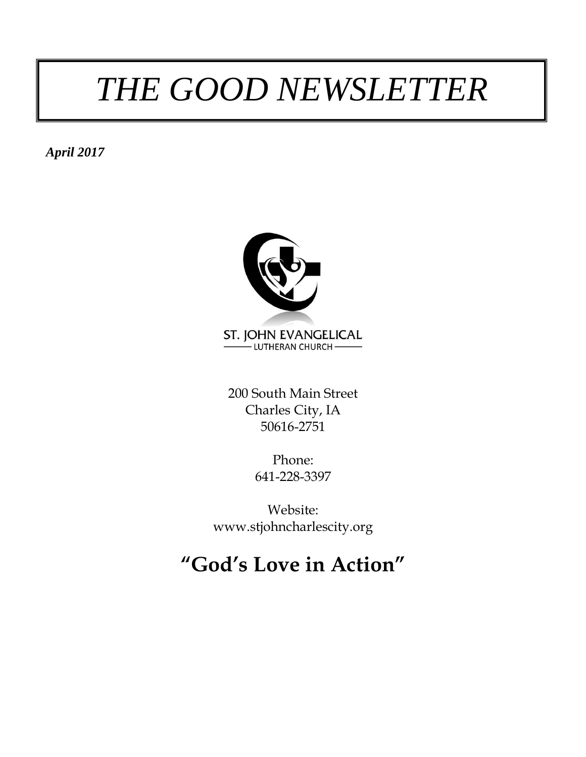## *THE GOOD NEWSLETTER*

*April 2017*



200 South Main Street Charles City, IA 50616-2751

> Phone: 641-228-3397

Website: www.stjohncharlescity.org

### **"God's Love in Action"**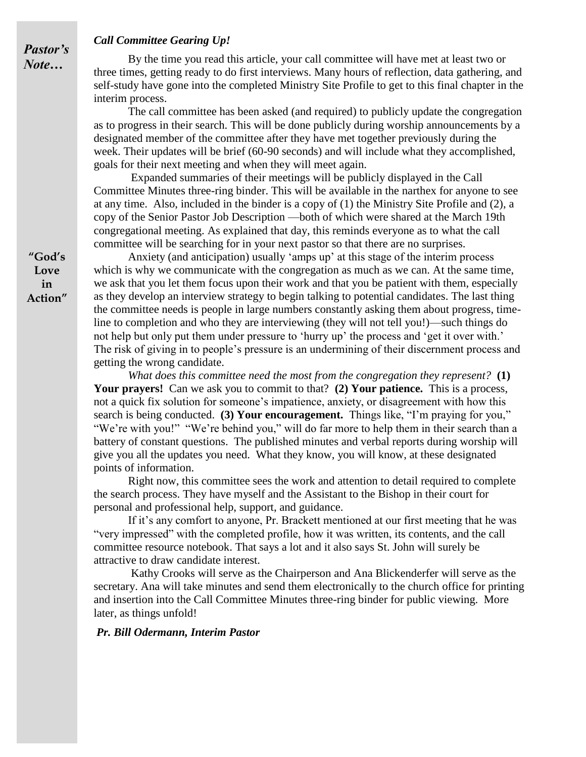#### *Call Committee Gearing Up!*

By the time you read this article, your call committee will have met at least two or three times, getting ready to do first interviews. Many hours of reflection, data gathering, and self-study have gone into the completed Ministry Site Profile to get to this final chapter in the interim process.

The call committee has been asked (and required) to publicly update the congregation as to progress in their search. This will be done publicly during worship announcements by a designated member of the committee after they have met together previously during the week. Their updates will be brief (60-90 seconds) and will include what they accomplished, goals for their next meeting and when they will meet again.

Expanded summaries of their meetings will be publicly displayed in the Call Committee Minutes three-ring binder. This will be available in the narthex for anyone to see at any time. Also, included in the binder is a copy of (1) the Ministry Site Profile and (2), a copy of the Senior Pastor Job Description —both of which were shared at the March 19th congregational meeting. As explained that day, this reminds everyone as to what the call committee will be searching for in your next pastor so that there are no surprises.

Anxiety (and anticipation) usually 'amps up' at this stage of the interim process which is why we communicate with the congregation as much as we can. At the same time, we ask that you let them focus upon their work and that you be patient with them, especially as they develop an interview strategy to begin talking to potential candidates. The last thing the committee needs is people in large numbers constantly asking them about progress, timeline to completion and who they are interviewing (they will not tell you!)—such things do not help but only put them under pressure to 'hurry up' the process and 'get it over with.' The risk of giving in to people's pressure is an undermining of their discernment process and getting the wrong candidate.

*What does this committee need the most from the congregation they represent?* **(1) Your prayers!** Can we ask you to commit to that? **(2) Your patience.** This is a process, not a quick fix solution for someone's impatience, anxiety, or disagreement with how this search is being conducted. **(3) Your encouragement.** Things like, "I'm praying for you," "We're with you!" "We're behind you," will do far more to help them in their search than a battery of constant questions. The published minutes and verbal reports during worship will give you all the updates you need. What they know, you will know, at these designated points of information.

Right now, this committee sees the work and attention to detail required to complete the search process. They have myself and the Assistant to the Bishop in their court for personal and professional help, support, and guidance.

If it's any comfort to anyone, Pr. Brackett mentioned at our first meeting that he was "very impressed" with the completed profile, how it was written, its contents, and the call committee resource notebook. That says a lot and it also says St. John will surely be attractive to draw candidate interest.

Kathy Crooks will serve as the Chairperson and Ana Blickenderfer will serve as the secretary. Ana will take minutes and send them electronically to the church office for printing and insertion into the Call Committee Minutes three-ring binder for public viewing. More later, as things unfold!

#### *Pr. Bill Odermann, Interim Pastor*

**"God's Love in Action"**

*Pastor's Note…*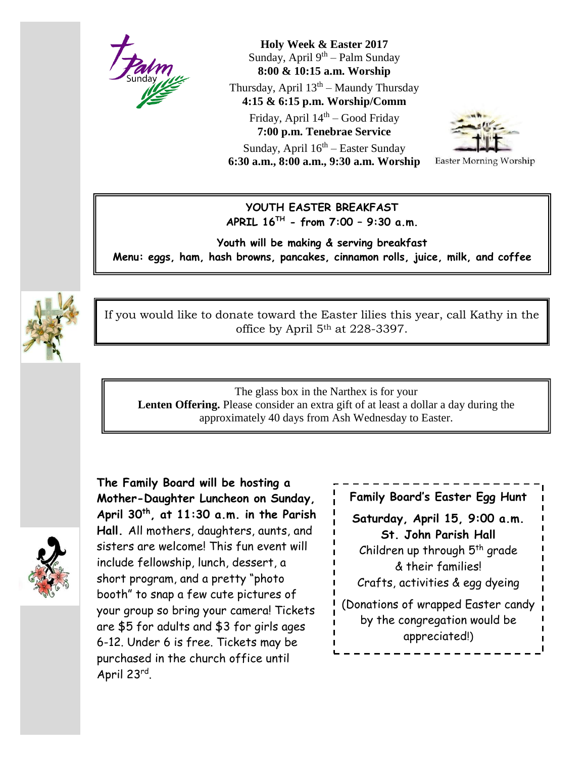

**Holy Week & Easter 2017** Sunday, April 9<sup>th</sup> – Palm Sunday **8:00 & 10:15 a.m. Worship**

Thursday, April  $13<sup>th</sup>$  – Maundy Thursday **4:15 & 6:15 p.m. Worship/Comm**

Friday, April 14<sup>th</sup> – Good Friday **7:00 p.m. Tenebrae Service** Sunday, April 16<sup>th</sup> – Easter Sunday **6:30 a.m., 8:00 a.m., 9:30 a.m. Worship**



**Easter Morning Worship** 

#### **YOUTH EASTER BREAKFAST APRIL 16TH - from 7:00 – 9:30 a.m.**

**Youth will be making & serving breakfast Menu: eggs, ham, hash browns, pancakes, cinnamon rolls, juice, milk, and coffee**



If you would like to donate toward the Easter lilies this year, call Kathy in the office by April 5th at 228-3397.

The glass box in the Narthex is for your **Lenten Offering.** Please consider an extra gift of at least a dollar a day during the approximately 40 days from Ash Wednesday to Easter.

**The Family Board will be hosting a Mother-Daughter Luncheon on Sunday, April 30th, at 11:30 a.m. in the Parish Hall.** All mothers, daughters, aunts, and sisters are welcome! This fun event will include fellowship, lunch, dessert, a short program, and a pretty "photo booth" to snap a few cute pictures of your group so bring your camera! Tickets are \$5 for adults and \$3 for girls ages 6-12. Under 6 is free. Tickets may be purchased in the church office until April 23rd .



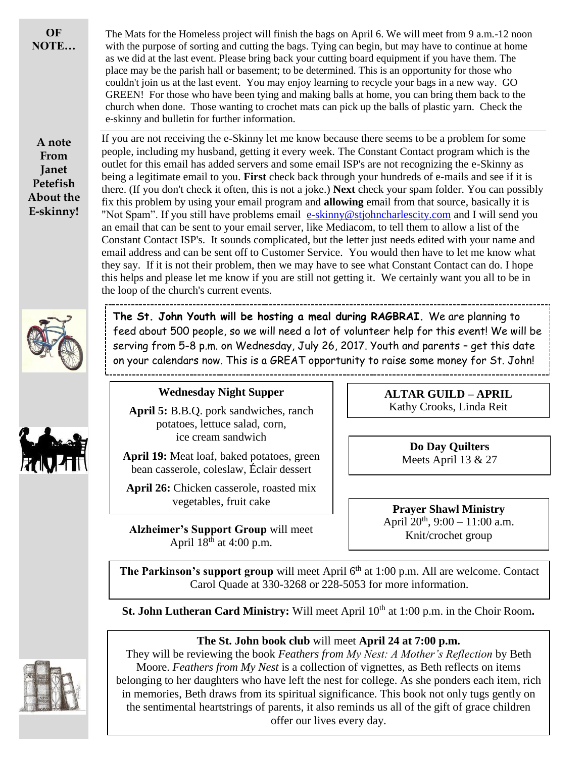**OF NOTE…**

**A note From Janet Petefish About the E-skinny!** If you are not receiving the e-Skinny let me know because there seems to be a problem for some people, including my husband, getting it every week. The Constant Contact program which is the outlet for this email has added servers and some email ISP's are not recognizing the e-Skinny as being a legitimate email to you. **First** check back through your hundreds of e-mails and see if it is there. (If you don't check it often, this is not a joke.) **Next** check your spam folder. You can possibly fix this problem by using your email program and **allowing** email from that source, basically it is "Not Spam". If you still have problems email [e-skinny@stjohncharlescity.com](mailto:e-skinny@stjohncharlescity.com) and I will send you an email that can be sent to your email server, like Mediacom, to tell them to allow a list of the Constant Contact ISP's. It sounds complicated, but the letter just needs edited with your name and email address and can be sent off to Customer Service. You would then have to let me know what they say. If it is not their problem, then we may have to see what Constant Contact can do. I hope this helps and please let me know if you are still not getting it. We certainly want you all to be in the loop of the church's current events.

The Mats for the Homeless project will finish the bags on April 6. We will meet from 9 a.m.-12 noon with the purpose of sorting and cutting the bags. Tying can begin, but may have to continue at home as we did at the last event. Please bring back your cutting board equipment if you have them. The place may be the parish hall or basement; to be determined. This is an opportunity for those who couldn't join us at the last event. You may enjoy learning to recycle your bags in a new way. GO GREEN! For those who have been tying and making balls at home, you can bring them back to the church when done. Those wanting to crochet mats can pick up the balls of plastic yarn. Check the



**The St. John Youth will be hosting a meal during RAGBRAI.** We are planning to feed about 500 people, so we will need a lot of volunteer help for this event! We will be serving from 5-8 p.m. on Wednesday, July 26, 2017. Youth and parents – get this date on your calendars now. This is a GREAT opportunity to raise some money for St. John! 

#### **Wednesday Night Supper**

e-skinny and bulletin for further information.

**April 5:** B.B.Q. pork sandwiches, ranch potatoes, lettuce salad, corn, ice cream sandwich

**April 19:** Meat loaf, baked potatoes, green bean casserole, coleslaw, Éclair dessert

**April 26:** Chicken casserole, roasted mix vegetables, fruit cake

**Alzheimer's Support Group** will meet April  $18^{th}$  at 4:00 p.m.

**ALTAR GUILD – APRIL** Kathy Crooks, Linda Reit

> **Do Day Quilters** Meets April 13 & 27

**Prayer Shawl Ministry** April  $20^{th}$ , 9:00 – 11:00 a.m. Knit/crochet group

**The Parkinson's support group** will meet April 6<sup>th</sup> at 1:00 p.m. All are welcome. Contact Carol Quade at 330-3268 or 228-5053 for more information.

**St. John Lutheran Card Ministry:** Will meet April 10<sup>th</sup> at 1:00 p.m. in the Choir Room.

#### **The St. John book club** will meet **April 24 at 7:00 p.m.**

They will be reviewing the book *Feathers from My Nest: A Mother's Reflection* by Beth Moore. *Feathers from My Nest* is a collection of vignettes, as Beth reflects on items belonging to her daughters who have left the nest for college. As she ponders each item, rich in memories, Beth draws from its spiritual significance. This book not only tugs gently on the sentimental heartstrings of parents, it also reminds us all of the gift of grace children offer our lives every day.

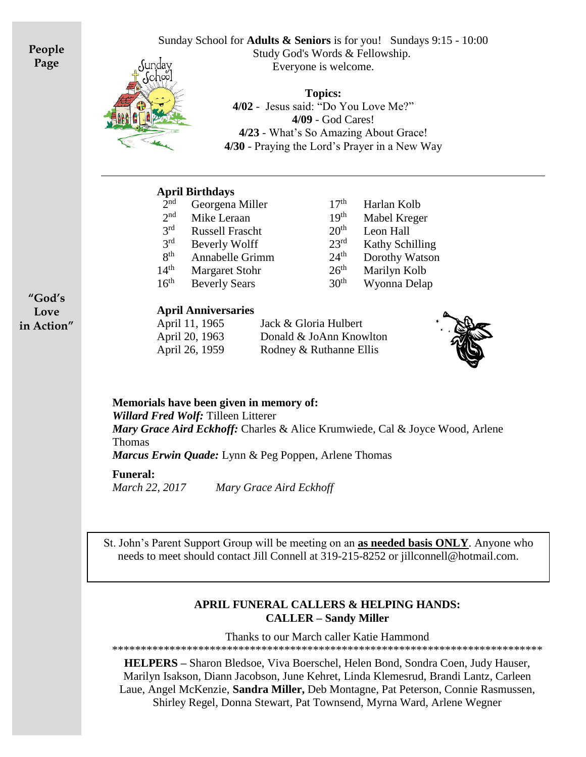**People Page**



Sunday School for **Adults & Seniors** is for you! Sundays 9:15 - 10:00 Study God's Words & Fellowship. Everyone is welcome.

> **Topics: 4/02** - Jesus said: "Do You Love Me?" **4/09** - God Cares! **4/23** - What's So Amazing About Grace! **4/30** - Praying the Lord's Prayer in a New Way

#### **April Birthdays**

| $\bar{2}^{\rm nd}$ | Georgena Miller        |
|--------------------|------------------------|
| $2n$ d             | Mike Leraan            |
| 2rd                | <b>Russell Frascht</b> |
| 3 <sup>rd</sup>    | <b>Beverly Wolff</b>   |
| gth                | Annabelle Grimm        |
| 14 <sup>th</sup>   | <b>Margaret Stohr</b>  |
| 16 <sup>th</sup>   | <b>Beverly Sears</b>   |

 $17<sup>th</sup>$  Harlan Kolb  $19<sup>th</sup>$  Mabel Kreger  $20<sup>th</sup>$  Leon Hall  $23<sup>rd</sup>$  Kathy Schilling  $24<sup>th</sup>$  Dorothy Watson  $26<sup>th</sup>$  Marilyn Kolb Beverly Sears 30<sup>th</sup> Wyonna Delap

#### **April Anniversaries**

April 11, 1965 Jack & Gloria Hulbert April 20, 1963 Donald & JoAnn Knowlton April 26, 1959 Rodney & Ruthanne Ellis



**Memorials have been given in memory of:**

*Willard Fred Wolf:* Tilleen Litterer

*Mary Grace Aird Eckhoff:* Charles & Alice Krumwiede, Cal & Joyce Wood, Arlene Thomas

*Marcus Erwin Quade:* Lynn & Peg Poppen, Arlene Thomas

#### **Funeral:**

*March 22, 2017 Mary Grace Aird Eckhoff*

St. John's Parent Support Group will be meeting on an **as needed basis ONLY**. Anyone who needs to meet should contact Jill Connell at 319-215-8252 or jillconnell@hotmail.com.

#### **APRIL FUNERAL CALLERS & HELPING HANDS: CALLER – Sandy Miller**

Thanks to our March caller Katie Hammond

\*\*\*\*\*\*\*\*\*\*\*\*\*\*\*\*\*\*\*\*\*\*\*\*\*\*\*\*\*\*\*\*\*\*\*\*\*\*\*\*\*\*\*\*\*\*\*\*\*\*\*\*\*\*\*\*\*\*\*\*\*\*\*\*\*\*\*\*\*\*\*\*\*\*\*

**HELPERS –** Sharon Bledsoe, Viva Boerschel, Helen Bond, Sondra Coen, Judy Hauser, Marilyn Isakson, Diann Jacobson, June Kehret, Linda Klemesrud, Brandi Lantz, Carleen Laue, Angel McKenzie, **Sandra Miller,** Deb Montagne, Pat Peterson, Connie Rasmussen, Shirley Regel, Donna Stewart, Pat Townsend, Myrna Ward, Arlene Wegner

**"God's Love in Action"**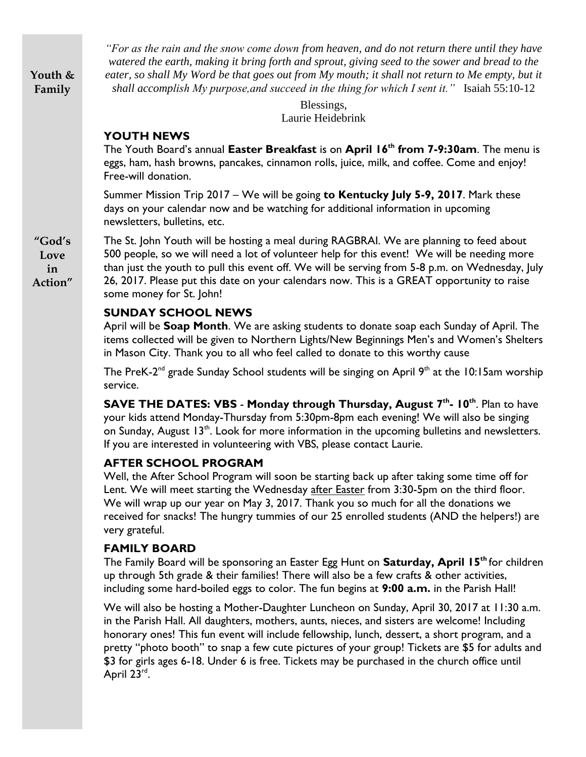**Youth & Family**

*"For as the rain and the snow come down from heaven, and do not return there until they have watered the earth, making it bring forth and sprout, giving seed to the sower and bread to the*  eater, so shall My Word be that goes out from My mouth; it shall not return to Me empty, but it *shall accomplish My purpose,and succeed in the thing for which I sent it."* Isaiah 55:10-12

> Blessings, Laurie Heidebrink

#### **YOUTH NEWS**

The Youth Board's annual **Easter Breakfast** is on **April 16th from 7-9:30am**. The menu is eggs, ham, hash browns, pancakes, cinnamon rolls, juice, milk, and coffee. Come and enjoy! Free-will donation.

Summer Mission Trip 2017 – We will be going **to Kentucky July 5-9, 2017**. Mark these days on your calendar now and be watching for additional information in upcoming newsletters, bulletins, etc.

The St. John Youth will be hosting a meal during RAGBRAI. We are planning to feed about 500 people, so we will need a lot of volunteer help for this event! We will be needing more than just the youth to pull this event off. We will be serving from 5-8 p.m. on Wednesday, July 26, 2017. Please put this date on your calendars now. This is a GREAT opportunity to raise some money for St. John!

#### **SUNDAY SCHOOL NEWS**

April will be **Soap Month**. We are asking students to donate soap each Sunday of April. The items collected will be given to Northern Lights/New Beginnings Men's and Women's Shelters in Mason City. Thank you to all who feel called to donate to this worthy cause

The PreK-2<sup>nd</sup> grade Sunday School students will be singing on April 9<sup>th</sup> at the 10:15am worship service.

**SAVE THE DATES: VBS** - **Monday through Thursday, August 7th - 10th**. Plan to have your kids attend Monday-Thursday from 5:30pm-8pm each evening! We will also be singing on Sunday, August 13<sup>th</sup>. Look for more information in the upcoming bulletins and newsletters. If you are interested in volunteering with VBS, please contact Laurie.

#### **AFTER SCHOOL PROGRAM**

Well, the After School Program will soon be starting back up after taking some time off for Lent. We will meet starting the Wednesday after Easter from 3:30-5pm on the third floor. We will wrap up our year on May 3, 2017. Thank you so much for all the donations we received for snacks! The hungry tummies of our 25 enrolled students (AND the helpers!) are very grateful.

#### **FAMILY BOARD**

The Family Board will be sponsoring an Easter Egg Hunt on **Saturday, April 15th** for children up through 5th grade & their families! There will also be a few crafts & other activities, including some hard-boiled eggs to color. The fun begins at **9:00 a.m.** in the Parish Hall!

We will also be hosting a Mother-Daughter Luncheon on Sunday, April 30, 2017 at 11:30 a.m. in the Parish Hall. All daughters, mothers, aunts, nieces, and sisters are welcome! Including honorary ones! This fun event will include fellowship, lunch, dessert, a short program, and a pretty "photo booth" to snap a few cute pictures of your group! Tickets are \$5 for adults and \$3 for girls ages 6-18. Under 6 is free. Tickets may be purchased in the church office until April 23rd.

**"God's Love in Action"**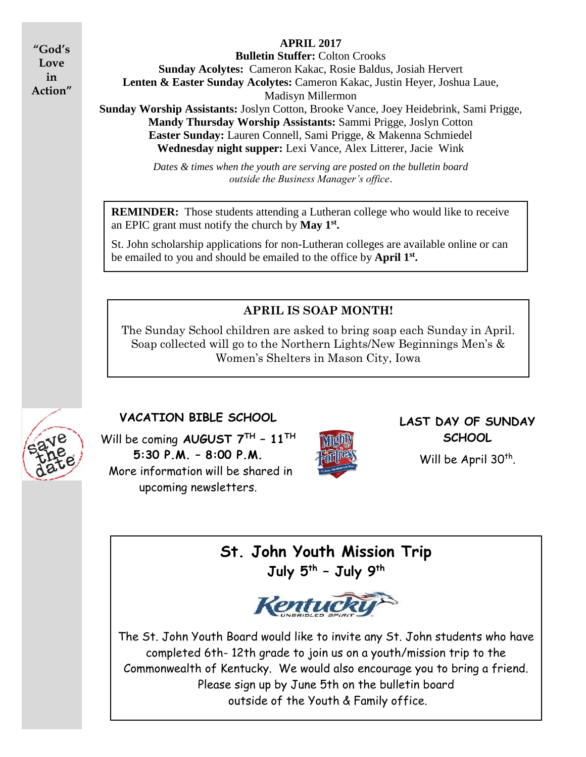**"God's Love in Action"**

#### **APRIL 2017**

**Bulletin Stuffer:** Colton Crooks **Sunday Acolytes:** Cameron Kakac, Rosie Baldus, Josiah Hervert **Lenten & Easter Sunday Acolytes:** Cameron Kakac, Justin Heyer, Joshua Laue, Madisyn Millermon **Sunday Worship Assistants:** Joslyn Cotton, Brooke Vance, Joey Heidebrink, Sami Prigge, **Mandy Thursday Worship Assistants:** Sammi Prigge, Joslyn Cotton **Easter Sunday:** Lauren Connell, Sami Prigge, & Makenna Schmiedel **Wednesday night supper:** Lexi Vance, Alex Litterer, Jacie Wink

> *Dates & times when the youth are serving are posted on the bulletin board outside the Business Manager's office*.

**REMINDER:** Those students attending a Lutheran college who would like to receive an EPIC grant must notify the church by **May 1st .** 

St. John scholarship applications for non-Lutheran colleges are available online or can be emailed to you and should be emailed to the office by **April 1 st .**

#### **APRIL IS SOAP MONTH!**

The Sunday School children are asked to bring soap each Sunday in April. Soap collected will go to the Northern Lights/New Beginnings Men's & Women's Shelters in Mason City, Iowa



#### **VACATION BIBLE SCHOOL**

Will be coming **AUGUST 7TH – 11TH 5:30 P.M. – 8:00 P.M.**  More information will be shared in upcoming newsletters.



#### **LAST DAY OF SUNDAY SCHOOL**

Will be April 30<sup>th</sup>.

**St. John Youth Mission Trip July 5th – July 9th**



The St. John Youth Board would like to invite any St. John students who have completed 6th- 12th grade to join us on a youth/mission trip to the Commonwealth of Kentucky. We would also encourage you to bring a friend. Please sign up by June 5th on the bulletin board outside of the Youth & Family office.

.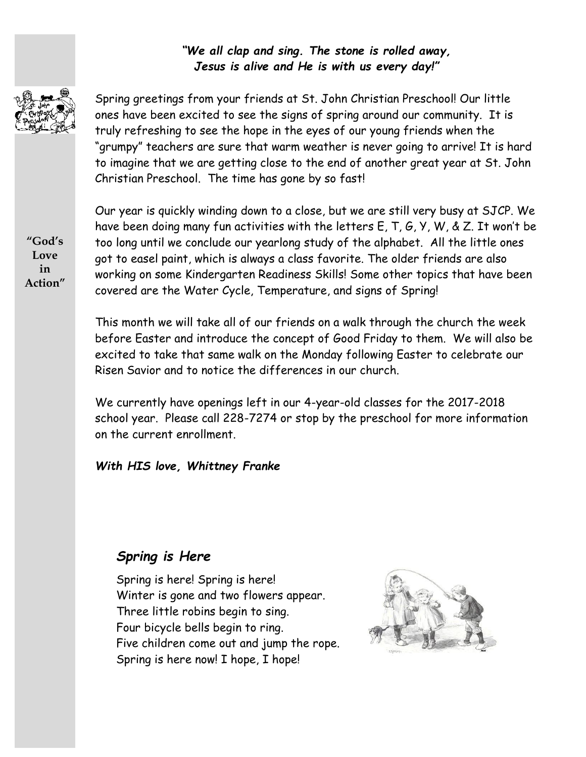#### *"We all clap and sing. The stone is rolled away, Jesus is alive and He is with us every day!"*



Spring greetings from your friends at St. John Christian Preschool! Our little ones have been excited to see the signs of spring around our community. It is truly refreshing to see the hope in the eyes of our young friends when the "grumpy" teachers are sure that warm weather is never going to arrive! It is hard to imagine that we are getting close to the end of another great year at St. John Christian Preschool. The time has gone by so fast!

**"God's Love in Action"** Our year is quickly winding down to a close, but we are still very busy at SJCP. We have been doing many fun activities with the letters E, T, G, Y, W, & Z. It won't be too long until we conclude our yearlong study of the alphabet. All the little ones got to easel paint, which is always a class favorite. The older friends are also working on some Kindergarten Readiness Skills! Some other topics that have been covered are the Water Cycle, Temperature, and signs of Spring!

This month we will take all of our friends on a walk through the church the week before Easter and introduce the concept of Good Friday to them. We will also be excited to take that same walk on the Monday following Easter to celebrate our Risen Savior and to notice the differences in our church.

We currently have openings left in our 4-year-old classes for the 2017-2018 school year. Please call 228-7274 or stop by the preschool for more information on the current enrollment.

*With HIS love, Whittney Franke* 

### *Spring is Here*

Spring is here! Spring is here! Winter is gone and two flowers appear. Three little robins begin to sing. Four bicycle bells begin to ring. Five children come out and jump the rope. Spring is here now! I hope, I hope!

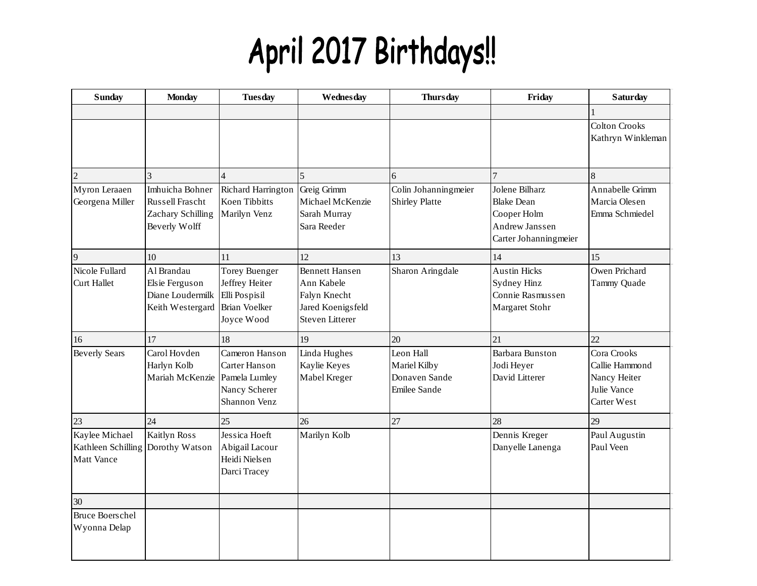# April 2017 Birthdays!!

| <b>Sunday</b>                                             | <b>Monday</b>                                                            | <b>Tuesday</b>                                                                                | Wednesday                                                                                          | <b>Thursday</b>                                            | Friday                                                                                        | <b>Saturday</b>                                                             |
|-----------------------------------------------------------|--------------------------------------------------------------------------|-----------------------------------------------------------------------------------------------|----------------------------------------------------------------------------------------------------|------------------------------------------------------------|-----------------------------------------------------------------------------------------------|-----------------------------------------------------------------------------|
|                                                           |                                                                          |                                                                                               |                                                                                                    |                                                            |                                                                                               |                                                                             |
|                                                           |                                                                          |                                                                                               |                                                                                                    |                                                            |                                                                                               | <b>Colton Crooks</b><br>Kathryn Winkleman                                   |
| $\overline{2}$                                            |                                                                          |                                                                                               | $\overline{5}$                                                                                     | 6                                                          |                                                                                               |                                                                             |
| Myron Leraaen<br>Georgena Miller                          | Imhuicha Bohner<br>Russell Frascht<br>Zachary Schilling<br>Beverly Wolff | Richard Harrington<br>Koen Tibbitts<br>Marilyn Venz                                           | Greig Grimm<br>Michael McKenzie<br>Sarah Murray<br>Sara Reeder                                     | Colin Johanningmeier<br>Shirley Platte                     | Jolene Bilharz<br><b>Blake Dean</b><br>Cooper Holm<br>Andrew Janssen<br>Carter Johanningmeier | Annabelle Grimm<br>Marcia Olesen<br>Emma Schmiedel                          |
| 9                                                         | 10                                                                       | 11                                                                                            | 12                                                                                                 | 13                                                         | 14                                                                                            | 15                                                                          |
| Nicole Fullard<br><b>Curt Hallet</b>                      | Al Brandau<br>Elsie Ferguson<br>Diane Loudermilk<br>Keith Westergard     | <b>Torey Buenger</b><br>Jeffrey Heiter<br>Elli Pospisil<br><b>Brian Voelker</b><br>Joyce Wood | <b>Bennett Hansen</b><br>Ann Kabele<br>Falyn Knecht<br>Jared Koenigsfeld<br><b>Steven Litterer</b> | Sharon Aringdale                                           | <b>Austin Hicks</b><br>Sydney Hinz<br>Connie Rasmussen<br>Margaret Stohr                      | Owen Prichard<br>Tammy Quade                                                |
| 16                                                        | 17                                                                       | 18                                                                                            | 19                                                                                                 | 20                                                         | 21                                                                                            | 22                                                                          |
| <b>Beverly Sears</b>                                      | Carol Hovden<br>Harlyn Kolb<br>Mariah McKenzie                           | Cameron Hanson<br>Carter Hanson<br>Pamela Lumley<br>Nancy Scherer<br>Shannon Venz             | Linda Hughes<br>Kaylie Keyes<br>Mabel Kreger                                                       | Leon Hall<br>Mariel Kilby<br>Donaven Sande<br>Emilee Sande | <b>Barbara Bunston</b><br>Jodi Heyer<br>David Litterer                                        | Cora Crooks<br>Callie Hammond<br>Nancy Heiter<br>Julie Vance<br>Carter West |
| 23                                                        | 24                                                                       | 25                                                                                            | 26                                                                                                 | 27                                                         | 28                                                                                            | 29                                                                          |
| Kaylee Michael<br>Kathleen Schilling<br><b>Matt Vance</b> | <b>Kaitlyn Ross</b><br>Dorothy Watson                                    | Jessica Hoeft<br>Abigail Lacour<br>Heidi Nielsen<br>Darci Tracey                              | Marilyn Kolb                                                                                       |                                                            | Dennis Kreger<br>Danyelle Lanenga                                                             | Paul Augustin<br>Paul Veen                                                  |
| 30                                                        |                                                                          |                                                                                               |                                                                                                    |                                                            |                                                                                               |                                                                             |
| <b>Bruce Boerschel</b><br>Wyonna Delap                    |                                                                          |                                                                                               |                                                                                                    |                                                            |                                                                                               |                                                                             |